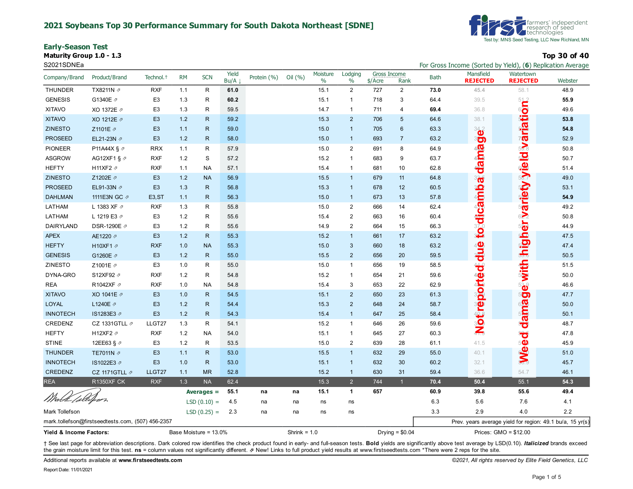#### **2021 Soybeans Top 30 Performance Summary for South Dakota Northeast [SDNE]**

**Early-Season Test**

**Maturity Group 1.0 - 1.3 Top 30 of 40**



S2021SDNEa **For Gross Income (Sorted by Yield), (6**) Replication Average

| Company/Brand           | Product/Brand                                     | Technol. <sup>+</sup> | <b>RM</b> | <b>SCN</b>            | Yield<br>Bu/A | Protein (%) | Oil (%)        | Moisture<br>$\%$ | Lodging<br>$\%$ | Gross Income<br>$$/$ Acre | Rank             | <b>Bath</b> | Mansfield<br><b>REJECTED</b>                              | Watertown<br><b>REJECTED</b> | Webster |
|-------------------------|---------------------------------------------------|-----------------------|-----------|-----------------------|---------------|-------------|----------------|------------------|-----------------|---------------------------|------------------|-------------|-----------------------------------------------------------|------------------------------|---------|
| <b>THUNDER</b>          | TX8211N 2                                         | <b>RXF</b>            | 1.1       | $\mathsf{R}$          | 61.0          |             |                | 15.1             | 2               | 727                       | $\overline{2}$   | 73.0        | 45.4                                                      | 58.1                         | 48.9    |
| <b>GENESIS</b>          | G1340E 2                                          | E <sub>3</sub>        | 1.3       | R                     | 60.2          |             |                | 15.1             | $\overline{1}$  | 718                       | 3                | 64.4        | 39.5                                                      |                              | 55.9    |
| <b>XITAVO</b>           | XO 1372E 2                                        | E <sub>3</sub>        | 1.3       | $\mathsf{R}$          | 59.5          |             |                | 14.7             | $\mathbf{1}$    | 711                       | 4                | 69.4        | 36.8                                                      | ariety y le bi svariation.   | 49.6    |
| <b>XITAVO</b>           | XO 1212E 2                                        | E <sub>3</sub>        | 1.2       | $\mathsf{R}$          | 59.2          |             |                | 15.3             | 2               | 706                       | 5                | 64.6        | 38.1                                                      |                              | 53.8    |
| <b>ZINESTO</b>          | Z1101E 2                                          | E <sub>3</sub>        | 1.1       | $\mathsf{R}$          | 59.0          |             |                | 15.0             | $\overline{1}$  | 705                       | 6                | 63.3        | 342                                                       |                              | 54.8    |
| <b>PROSEED</b>          | EL21-23N 2                                        | E <sub>3</sub>        | 1.2       | ${\sf R}$             | 58.0          |             |                | 15.0             | $\overline{1}$  | 693                       | $\overline{7}$   | 63.2        | 80                                                        |                              | 52.9    |
| <b>PIONEER</b>          | P11A44X § 2                                       | <b>RRX</b>            | 1.1       | $\mathsf{R}$          | 57.9          |             |                | 15.0             | $\overline{2}$  | 691                       | 8                | 64.9        |                                                           |                              | 50.8    |
| <b>ASGROW</b>           | AG12XF1 § $\varnothing$                           | <b>RXF</b>            | 1.2       | S                     | 57.2          |             |                | 15.2             | $\overline{1}$  | 683                       | 9                | 63.7        |                                                           |                              | 50.7    |
| <b>HEFTY</b>            | H11XF2 2                                          | <b>RXF</b>            | 1.1       | <b>NA</b>             | 57.1          |             |                | 15.4             | $\mathbf{1}$    | 681                       | 10               | 62.8        | dama                                                      |                              | 51.4    |
| <b>ZINESTO</b>          | Z1202E 2                                          | E <sub>3</sub>        | 1.2       | <b>NA</b>             | 56.9          |             |                | 15.5             | $\mathbf{1}$    | 679                       | 11               | 64.8        |                                                           |                              | 49.0    |
| <b>PROSEED</b>          | EL91-33N 2                                        | E <sub>3</sub>        | 1.3       | $\mathsf{R}$          | 56.8          |             |                | 15.3             | $\overline{1}$  | 678                       | 12               | 60.5        |                                                           |                              | 53.1    |
| <b>DAHLMAN</b>          | 1111E3N GC 2                                      | E <sub>3</sub> , ST   | 1.1       | ${\sf R}$             | 56.3          |             |                | 15.0             | $\overline{1}$  | 673                       | 13               | 57.8        |                                                           |                              | 54.9    |
| LATHAM                  | L 1383 XF 7                                       | <b>RXF</b>            | 1.3       | $\mathsf{R}$          | 55.8          |             |                | 15.0             | $\overline{c}$  | 666                       | 14               | 62.4        | camba                                                     |                              | 49.2    |
| LATHAM                  | L 1219 E3 7                                       | E <sub>3</sub>        | 1.2       | R                     | 55.6          |             |                | 15.4             | $\overline{2}$  | 663                       | 16               | 60.4        |                                                           | 622                          | 50.8    |
| DAIRYLAND               | DSR-1290E ク                                       | E <sub>3</sub>        | 1.2       | R                     | 55.6          |             |                | 14.9             | $\overline{2}$  | 664                       | 15               | 66.3        | todi                                                      | $5 -$                        | 44.9    |
| <b>APEX</b>             | AE1220 2                                          | E <sub>3</sub>        | 1.2       | ${\sf R}$             | 55.3          |             |                | 15.2             | $\mathbf{1}$    | 661                       | 17               | 63.2        |                                                           |                              | 47.5    |
| <b>HEFTY</b>            | H10XF1 2                                          | <b>RXF</b>            | 1.0       | <b>NA</b>             | 55.3          |             |                | 15.0             | $\mathbf{3}$    | 660                       | 18               | 63.2        |                                                           |                              | 47.4    |
| <b>GENESIS</b>          | G1260E 2                                          | E <sub>3</sub>        | 1.2       | ${\sf R}$             | 55.0          |             |                | 15.5             | $\overline{2}$  | 656                       | 20               | 59.5        | adje                                                      | e with inigh                 | 50.5    |
| ZINESTO                 | Z1001E 2                                          | E <sub>3</sub>        | 1.0       | ${\sf R}$             | 55.0          |             |                | 15.0             | $\mathbf{1}$    | 656                       | 19               | 58.5        | $\overline{\mathbf{b}}$                                   |                              | 51.5    |
| DYNA-GRO                | S12XF92 2                                         | <b>RXF</b>            | 1.2       | R                     | 54.8          |             |                | 15.2             | $\mathbf{1}$    | 654                       | 21               | 59.6        | Ō                                                         |                              | 50.0    |
| <b>REA</b>              | R1042XF 2                                         | <b>RXF</b>            | 1.0       | <b>NA</b>             | 54.8          |             |                | 15.4             | 3               | 653                       | 22               | 62.9        |                                                           |                              | 46.6    |
| <b>XITAVO</b>           | XO 1041E 2                                        | E <sub>3</sub>        | 1.0       | ${\sf R}$             | 54.5          |             |                | 15.1             | $\overline{2}$  | 650                       | 23               | 61.3        |                                                           | 50                           | 47.7    |
| <b>LOYAL</b>            | L1240E A                                          | E <sub>3</sub>        | 1.2       | ${\sf R}$             | 54.4          |             |                | 15.3             | $\overline{2}$  | 648                       | 24               | 58.7        |                                                           |                              | 50.0    |
| <b>INNOTECH</b>         | IS1283E3 ₽                                        | E <sub>3</sub>        | 1.2       | ${\sf R}$             | 54.3          |             |                | 15.4             | $\overline{1}$  | 647                       | 25               | 58.4        | Notreport                                                 | dama                         | 50.1    |
| CREDENZ                 | CZ 1331GTLL $\not$                                | LLGT27                | 1.3       | ${\sf R}$             | 54.1          |             |                | 15.2             | $\mathbf{1}$    | 646                       | 26               | 59.6        |                                                           |                              | 48.7    |
| <b>HEFTY</b>            | H12XF2 2                                          | <b>RXF</b>            | 1.2       | <b>NA</b>             | 54.0          |             |                | 15.1             | $\overline{1}$  | 645                       | 27               | 60.3        |                                                           | ಕ                            | 47.8    |
| <b>STINE</b>            | 12EE63 § 2                                        | E <sub>3</sub>        | 1.2       | R                     | 53.5          |             |                | 15.0             | $\overline{2}$  | 639                       | 28               | 61.1        | 41.5                                                      | 50                           | 45.9    |
| <b>THUNDER</b>          | TE7011N 2                                         | E <sub>3</sub>        | 1.1       | ${\sf R}$             | 53.0          |             |                | 15.5             | $\overline{1}$  | 632                       | 29               | 55.0        | 40.1                                                      | <b>SWe</b>                   | 51.0    |
| <b>INNOTECH</b>         | IS1022E3 ₽                                        | E <sub>3</sub>        | 1.0       | ${\sf R}$             | 53.0          |             |                | 15.1             | $\overline{1}$  | 632                       | 30               | 60.2        | 32.1                                                      |                              | 45.7    |
| CREDENZ                 | CZ 1171GTLL $\not$                                | LLGT27                | 1.1       | <b>MR</b>             | 52.8          |             |                | 15.2             | $\overline{1}$  | 630                       | 31               | 59.4        | 36.6                                                      | 54.7                         | 46.1    |
| <b>REA</b>              | <b>R1350XF CK</b>                                 | <b>RXF</b>            | 1.3       | <b>NA</b>             | 62.4          |             |                | 15.3             | $\overline{2}$  | 744                       |                  | 70.4        | 50.4                                                      | 55.1                         | 54.3    |
|                         |                                                   |                       |           | Averages $=$          | 55.1          | na          | na             | 15.1             | $\mathbf{1}$    | 657                       |                  | 60.9        | 39.8                                                      | 55.6                         | 49.4    |
| Whatk follofeer         |                                                   |                       |           | $LSD(0.10) =$         | 4.5           | na          | na             | ns               | ns              |                           |                  | 6.3         | 5.6                                                       | 7.6                          | 4.1     |
| Mark Tollefson          |                                                   |                       |           | $LSD(0.25) =$         | 2.3           | na          | na             | ns               | ns              |                           |                  | 3.3         | 2.9                                                       | 4.0                          | 2.2     |
|                         | mark.tollefson@firstseedtests.com, (507) 456-2357 |                       |           |                       |               |             |                |                  |                 |                           |                  |             | Prev. years average yield for region: 49.1 bu/a, 15 yr(s) |                              |         |
| Yield & Income Factors: |                                                   |                       |           | Base Moisture = 13.0% |               |             | Shrink = $1.0$ |                  |                 |                           | Drying = $$0.04$ |             |                                                           | Prices: GMO = \$12.00        |         |

+ See last page for abbreviation descriptions. Dark colored row identifies the check product found in early- and full-season tests. Bold yields are significantly above test average by LSD(0.10). Italicized brands exceed the grain moisture limit for this test. ns = column values not significantly different. **z** New! Links to full product yield results at www.firstseedtests.com \*There were 2 reps for the site.

Additional reports available at **[www.firstseedtests.com](https://www.firstseedtests.com)** *©2021, All rights reserved by Elite Field Genetics, LLC*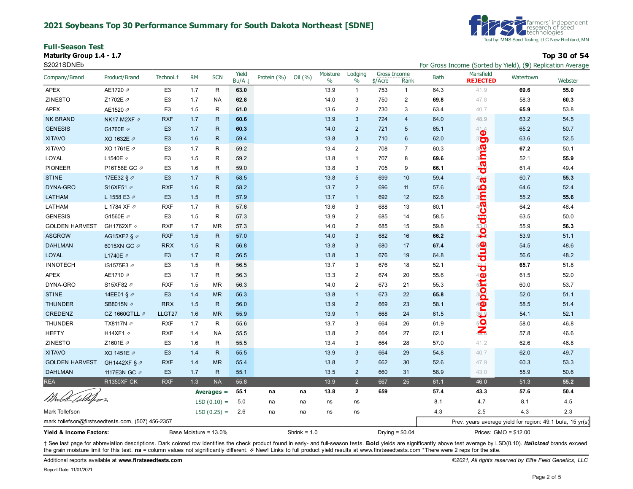#### **2021 Soybeans Top 30 Performance Summary for South Dakota Northeast [SDNE]**

**Full-Season Test Maturity Group 1.4 - 1.7 Top 30 of 54**



| S2021SDNEb                                        |                          |                       |           |                       |               |             |                |                  |                 |                         |                  |             | For Gross Income (Sorted by Yield), (9) Replication Average |           |         |
|---------------------------------------------------|--------------------------|-----------------------|-----------|-----------------------|---------------|-------------|----------------|------------------|-----------------|-------------------------|------------------|-------------|-------------------------------------------------------------|-----------|---------|
| Company/Brand                                     | Product/Brand            | Technol. <sup>+</sup> | <b>RM</b> | <b>SCN</b>            | Yield<br>Bu/A | Protein (%) | Oil (%)        | Moisture<br>$\%$ | Lodging<br>$\%$ | Gross Income<br>\$/Acre | Rank             | <b>Bath</b> | Mansfield<br><b>REJECTED</b>                                | Watertown | Webster |
| <b>APEX</b>                                       | AE1720 2                 | E <sub>3</sub>        | 1.7       | R                     | 63.0          |             |                | 13.9             | $\mathbf{1}$    | 753                     | $\mathbf{1}$     | 64.3        | 41.9                                                        | 69.6      | 55.0    |
| <b>ZINESTO</b>                                    | Z1702E 2                 | E <sub>3</sub>        | 1.7       | <b>NA</b>             | 62.8          |             |                | 14.0             | 3               | 750                     | $\overline{2}$   | 69.8        | 47.8                                                        | 58.3      | 60.3    |
| <b>APEX</b>                                       | AE1520 2                 | E <sub>3</sub>        | 1.5       | R                     | 61.0          |             |                | 13.6             | $\overline{2}$  | 730                     | 3                | 63.4        | 40.7                                                        | 65.9      | 53.8    |
| <b>NK BRAND</b>                                   | NK17-M2XF ₽              | <b>RXF</b>            | 1.7       | R.                    | 60.6          |             |                | 13.9             | 3               | 724                     | $\overline{4}$   | 64.0        | 48.9                                                        | 63.2      | 54.5    |
| <b>GENESIS</b>                                    | G1760E 2                 | E <sub>3</sub>        | 1.7       | R.                    | 60.3          |             |                | 14.0             | $\overline{2}$  | 721                     | $5\phantom{1}$   | 65.1        | 414                                                         | 65.2      | 50.7    |
| <b>XITAVO</b>                                     | XO 1632E 2               | E <sub>3</sub>        | 1.6       | R                     | 59.4          |             |                | 13.8             | $\mathbf{3}$    | 710                     | 6                | 62.0        | ಿರಾ                                                         | 63.6      | 52.5    |
| <b>XITAVO</b>                                     | XO 1761E 2               | E <sub>3</sub>        | 1.7       | R                     | 59.2          |             |                | 13.4             | $\overline{2}$  | 708                     | $\overline{7}$   | 60.3        | <b>one</b>                                                  | 67.2      | 50.1    |
| LOYAL                                             | L1540E 2                 | E <sub>3</sub>        | 1.5       | R                     | 59.2          |             |                | 13.8             | $\mathbf{1}$    | 707                     | 8                | 69.6        |                                                             | 52.1      | 55.9    |
| <b>PIONEER</b>                                    | P16T58E GC 2             | E <sub>3</sub>        | 1.6       | R                     | 59.0          |             |                | 13.8             | 3               | 705                     | 9                | 66.1        | da                                                          | 61.4      | 49.4    |
| <b>STINE</b>                                      | 17EE32 § 2               | E <sub>3</sub>        | 1.7       | R.                    | 58.5          |             |                | 13.8             | 5               | 699                     | 10               | 59.4        | 42 <sup>4</sup>                                             | 60.7      | 55.3    |
| DYNA-GRO                                          | S16XF51 2                | <b>RXF</b>            | 1.6       | R.                    | 58.2          |             |                | 13.7             | $\overline{2}$  | 696                     | 11               | 57.6        |                                                             | 64.6      | 52.4    |
| LATHAM                                            | L 1558 E3 2              | E <sub>3</sub>        | 1.5       | R.                    | 57.9          |             |                | 13.7             | $\mathbf{1}$    | 692                     | 12               | 62.8        | <b>to dicamb</b>                                            | 55.2      | 55.6    |
| LATHAM                                            | L 1784 XF 2              | <b>RXF</b>            | 1.7       | R                     | 57.6          |             |                | 13.6             | 3               | 688                     | 13               | 60.1        |                                                             | 64.2      | 48.4    |
| <b>GENESIS</b>                                    | G1560E 2                 | E <sub>3</sub>        | 1.5       | R                     | 57.3          |             |                | 13.9             | $\overline{2}$  | 685                     | 14               | 58.5        |                                                             | 63.5      | 50.0    |
| <b>GOLDEN HARVEST</b>                             | GH1762XF 2               | <b>RXF</b>            | 1.7       | <b>MR</b>             | 57.3          |             |                | 14.0             | $\overline{2}$  | 685                     | 15               | 59.8        |                                                             | 55.9      | 56.3    |
| <b>ASGROW</b>                                     | AG15XF2 § $\varnothing$  | <b>RXF</b>            | 1.5       | R.                    | 57.0          |             |                | 14.0             | 3               | 682                     | 16               | 66.2        |                                                             | 53.9      | 51.1    |
| <b>DAHLMAN</b>                                    | 6015XN GC 2              | <b>RRX</b>            | 1.5       | R.                    | 56.8          |             |                | 13.8             | 3               | 680                     | 17               | 67.4        |                                                             | 54.5      | 48.6    |
| LOYAL                                             | L1740E 2                 | E <sub>3</sub>        | 1.7       | $\mathsf{R}$          | 56.5          |             |                | 13.8             | $\mathbf{3}$    | 676                     | 19               | 64.8        | <b>SUB</b>                                                  | 56.6      | 48.2    |
| <b>INNOTECH</b>                                   | IS1575E3 ₽               | E <sub>3</sub>        | 1.5       | R                     | 56.5          |             |                | 13.7             | 3               | 676                     | 18               | 52.1        | $\ddot{\vec{v}}$                                            | 65.7      | 51.8    |
| <b>APEX</b>                                       | AE1710 2                 | E <sub>3</sub>        | 1.7       | R                     | 56.3          |             |                | 13.3             | $\overline{2}$  | 674                     | 20               | 55.6        |                                                             | 61.5      | 52.0    |
| DYNA-GRO                                          | S15XF82 2                | <b>RXF</b>            | 1.5       | MR                    | 56.3          |             |                | 14.0             | $\overline{2}$  | 673                     | 21               | 55.3        | Notreporte                                                  | 60.0      | 53.7    |
| <b>STINE</b>                                      | 14EE01 § 2               | E <sub>3</sub>        | 1.4       | <b>MR</b>             | 56.3          |             |                | 13.8             | $\mathbf{1}$    | 673                     | 22               | 65.8        |                                                             | 52.0      | 51.1    |
| <b>THUNDER</b>                                    | SB8015N Ø                | <b>RRX</b>            | 1.5       | $\mathsf{R}$          | 56.0          |             |                | 13.9             | $\overline{2}$  | 669                     | 23               | 58.1        |                                                             | 58.5      | 51.4    |
| CREDENZ                                           | CZ 1660GTLL 2            | LLGT27                | 1.6       | <b>MR</b>             | 55.9          |             |                | 13.9             | $\mathbf{1}$    | 668                     | 24               | 61.5        |                                                             | 54.1      | 52.1    |
| <b>THUNDER</b>                                    | TX8117N 2                | <b>RXF</b>            | 1.7       | R                     | 55.6          |             |                | 13.7             | 3               | 664                     | 26               | 61.9        |                                                             | 58.0      | 46.8    |
| <b>HEFTY</b>                                      | H14XF1 2                 | <b>RXF</b>            | 1.4       | NA                    | 55.5          |             |                | 13.8             | 2               | 664                     | 27               | 62.1        |                                                             | 57.8      | 46.6    |
| ZINESTO                                           | Z1601E /                 | E <sub>3</sub>        | 1.6       | R                     | 55.5          |             |                | 13.4             | 3               | 664                     | 28               | 57.0        | 41.2                                                        | 62.6      | 46.8    |
| <b>XITAVO</b>                                     | XO 1451E 2               | E <sub>3</sub>        | 1.4       | $\mathsf{R}$          | 55.5          |             |                | 13.9             | 3               | 664                     | 29               | 54.8        | 40.7                                                        | 62.0      | 49.7    |
| <b>GOLDEN HARVEST</b>                             | GH1442XF § $\varnothing$ | <b>RXF</b>            | 1.4       | <b>MR</b>             | 55.4          |             |                | 13.8             | $\overline{2}$  | 662                     | 30               | 52.6        | 47.9                                                        | 60.3      | 53.3    |
| <b>DAHLMAN</b>                                    | 1117E3N GC 2             | E <sub>3</sub>        | 1.7       | $\mathsf{R}$          | 55.1          |             |                | 13.5             | $\overline{2}$  | 660                     | 31               | 58.9        | 43.0                                                        | 55.9      | 50.6    |
| <b>REA</b>                                        | <b>R1350XF CK</b>        | <b>RXF</b>            | 1.3       | <b>NA</b>             | 55.8          |             |                | 13.9             | $\overline{2}$  | 667                     | 25               | 61.1        | 46.0                                                        | 51.3      | 55.2    |
|                                                   |                          |                       |           | Averages =            | 55.1          | na          | na             | 13.8             | $\overline{2}$  | 659                     |                  | 57.4        | 43.3                                                        | 57.6      | 50.4    |
| Wirth Collifier                                   |                          |                       |           | $LSD(0.10) =$         | 5.0           | na          | na             | ns               | ns              |                         |                  | 8.1         | 4.7                                                         | 8.1       | 4.5     |
| Mark Tollefson                                    |                          |                       |           | $LSD(0.25) =$         | 2.6           | na          | na             | ns               | ns              |                         |                  | 4.3         | 2.5                                                         | 4.3       | 2.3     |
| mark.tollefson@firstseedtests.com, (507) 456-2357 |                          |                       |           |                       |               |             |                |                  |                 |                         |                  |             | Prev. years average yield for region: 49.1 bu/a, 15 yr(s)   |           |         |
| Yield & Income Factors:                           |                          |                       |           | Base Moisture = 13.0% |               |             | Shrink = $1.0$ |                  |                 |                         | Drying = $$0.04$ |             | Prices: GMO = \$12.00                                       |           |         |

+ See last page for abbreviation descriptions. Dark colored row identifies the check product found in early- and full-season tests. Bold yields are significantly above test average by LSD(0.10). Italicized brands exceed the grain moisture limit for this test. ns = column values not significantly different. *A* New! Links to full product yield results at www.firstseedtests.com \*There were 2 reps for the site.

Additional reports available at **[www.firstseedtests.com](https://www.firstseedtests.com)** *©2021, All rights reserved by Elite Field Genetics, LLC* 

Report Date: 11/01/2021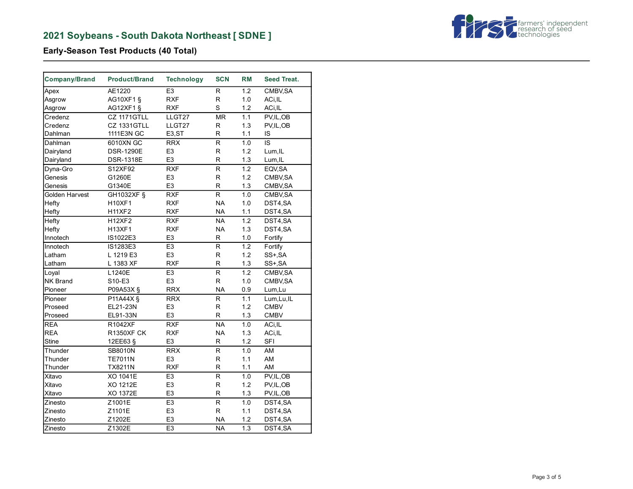# **2021 Soybeans - South Dakota Northeast [ SDNE ]**



# **Early-Season Test Products (40 Total)**

| E <sub>3</sub><br>1.2<br>AE1220<br>R.<br>CMBV, SA<br>Apex<br><b>RXF</b><br>R<br><b>AG10XF1 §</b><br>1.0<br>Asgrow<br>ACi, IL<br>S<br>AG12XF1 §<br><b>RXF</b><br>1.2<br>ACi, IL<br>Asgrow<br>LLGT27<br><b>MR</b><br>PV, IL, OB<br>Credenz<br>CZ 1171GTLL<br>1.1<br><b>CZ 1331GTLL</b><br>LLGT27<br>R<br>1.3<br>Credenz<br>PV, IL, OB<br>1111E3N GC<br>R.<br>Dahlman<br>E <sub>3</sub> ,ST<br>1.1<br>IS<br>R<br>1.0<br>IS<br>Dahlman<br>6010XN GC<br><b>RRX</b><br>E <sub>3</sub><br>R<br><b>DSR-1290E</b><br>1.2<br>Lum, IL<br>Dairyland<br>E <sub>3</sub><br>R<br>Dairyland<br><b>DSR-1318E</b><br>1.3<br>Lum, IL<br>$\overline{R}$ XF<br>$\overline{\mathsf{R}}$<br>$\overline{1.2}$<br>Dyna-Gro<br>S12XF92<br>EQV, SA<br>E <sub>3</sub><br>R<br>Genesis<br>G1260E<br>1.2<br>CMBV, SA<br>R<br>Genesis<br>G1340E<br>E <sub>3</sub><br>1.3<br>CMBV, SA<br>Golden Harvest<br>GH1032XF §<br><b>RXF</b><br>R<br>1.0<br>CMBV, SA<br><b>NA</b><br>H10XF1<br><b>RXF</b><br>DST4,SA<br>Hefty<br>1.0<br><b>NA</b><br><b>H11XF2</b><br><b>RXF</b><br>1.1<br>Hefty<br>DST4,SA<br><b>RXF</b><br><b>NA</b><br>1.2<br>Hefty<br><b>H12XF2</b><br>DST4,SA<br><b>RXF</b><br><b>NA</b><br>1.3<br>Hefty<br><b>H13XF1</b><br>DST4,SA<br>R<br>Innotech<br>IS1022E3<br>E <sub>3</sub><br>1.0<br>Fortify<br>E <sub>3</sub><br>R<br>1.2<br>Innotech<br>IS1283E3<br>Fortify<br>E <sub>3</sub><br>L 1219 E3<br>R<br>1.2<br>Latham<br>SS+, SA<br><b>RXF</b><br>R<br>Latham<br>L 1383 XF<br>1.3<br>SS+, SA<br>L1240E<br>E <sub>3</sub><br>R<br>1.2<br>Loyal<br>CMBV, SA<br>E <sub>3</sub><br>R<br><b>NK Brand</b><br>S10-E3<br>1.0<br>CMBV, SA<br><b>RRX</b><br><b>NA</b><br>Pioneer<br>P09A53X §<br>0.9<br>Lum, Lu<br><b>RRX</b><br>$\overline{\mathsf{R}}$<br>P11A44X §<br>1.1<br>Lum, Lu, IL<br>Pioneer<br>EL21-23N<br>R<br>1.2<br><b>CMBV</b><br>E <sub>3</sub><br>Proseed<br>E <sub>3</sub><br>R<br>EL91-33N<br>1.3<br><b>CMBV</b><br>Proseed<br><b>REA</b><br><b>RXF</b><br><b>NA</b><br>1.0<br>R1042XF<br>ACi, IL<br><b>REA</b><br><b>NA</b><br><b>R1350XF CK</b><br><b>RXF</b><br>1.3<br>ACi, IL<br>E <sub>3</sub><br>$\mathsf{R}$<br><b>SFI</b><br><b>Stine</b><br>12EE63 §<br>1.2<br>Thunder<br><b>RRX</b><br>R<br>1.0<br>AM<br><b>SB8010N</b><br>E <sub>3</sub><br>$\mathsf{R}$<br>AM<br>Thunder<br><b>TE7011N</b><br>1.1<br><b>RXF</b><br>R<br>AM<br>Thunder<br><b>TX8211N</b><br>1.1<br>$\overline{\mathsf{R}}$<br>XO 1041E<br>E <sub>3</sub><br>1.0<br>PV, IL, OB<br>Xitavo<br>XO 1212E<br>E <sub>3</sub><br>R<br>1.2<br>PV, IL, OB<br>Xitavo<br>XO 1372E<br>E <sub>3</sub><br>R<br>1.3<br>Xitavo<br>PV, IL, OB<br>E3<br>Zinesto<br>Z1001E<br>R<br>1.0<br>DST4,SA<br>R<br>E <sub>3</sub><br>Zinesto<br>Z1101E<br>1.1<br>DST4,SA<br>E <sub>3</sub><br><b>NA</b><br>Z1202E<br>1.2<br>Zinesto<br>DST4,SA | Company/Brand | <b>Product/Brand</b> | <b>Technology</b> | <b>SCN</b> | RM  | <b>Seed Treat.</b> |
|-----------------------------------------------------------------------------------------------------------------------------------------------------------------------------------------------------------------------------------------------------------------------------------------------------------------------------------------------------------------------------------------------------------------------------------------------------------------------------------------------------------------------------------------------------------------------------------------------------------------------------------------------------------------------------------------------------------------------------------------------------------------------------------------------------------------------------------------------------------------------------------------------------------------------------------------------------------------------------------------------------------------------------------------------------------------------------------------------------------------------------------------------------------------------------------------------------------------------------------------------------------------------------------------------------------------------------------------------------------------------------------------------------------------------------------------------------------------------------------------------------------------------------------------------------------------------------------------------------------------------------------------------------------------------------------------------------------------------------------------------------------------------------------------------------------------------------------------------------------------------------------------------------------------------------------------------------------------------------------------------------------------------------------------------------------------------------------------------------------------------------------------------------------------------------------------------------------------------------------------------------------------------------------------------------------------------------------------------------------------------------------------------------------------------------------------------------------------------------------------------------------------------------------------------------------------------------------------------------------------------------------------------------------------------------------------------------------------------------------------------------------------------------------------|---------------|----------------------|-------------------|------------|-----|--------------------|
|                                                                                                                                                                                                                                                                                                                                                                                                                                                                                                                                                                                                                                                                                                                                                                                                                                                                                                                                                                                                                                                                                                                                                                                                                                                                                                                                                                                                                                                                                                                                                                                                                                                                                                                                                                                                                                                                                                                                                                                                                                                                                                                                                                                                                                                                                                                                                                                                                                                                                                                                                                                                                                                                                                                                                                                         |               |                      |                   |            |     |                    |
|                                                                                                                                                                                                                                                                                                                                                                                                                                                                                                                                                                                                                                                                                                                                                                                                                                                                                                                                                                                                                                                                                                                                                                                                                                                                                                                                                                                                                                                                                                                                                                                                                                                                                                                                                                                                                                                                                                                                                                                                                                                                                                                                                                                                                                                                                                                                                                                                                                                                                                                                                                                                                                                                                                                                                                                         |               |                      |                   |            |     |                    |
|                                                                                                                                                                                                                                                                                                                                                                                                                                                                                                                                                                                                                                                                                                                                                                                                                                                                                                                                                                                                                                                                                                                                                                                                                                                                                                                                                                                                                                                                                                                                                                                                                                                                                                                                                                                                                                                                                                                                                                                                                                                                                                                                                                                                                                                                                                                                                                                                                                                                                                                                                                                                                                                                                                                                                                                         |               |                      |                   |            |     |                    |
|                                                                                                                                                                                                                                                                                                                                                                                                                                                                                                                                                                                                                                                                                                                                                                                                                                                                                                                                                                                                                                                                                                                                                                                                                                                                                                                                                                                                                                                                                                                                                                                                                                                                                                                                                                                                                                                                                                                                                                                                                                                                                                                                                                                                                                                                                                                                                                                                                                                                                                                                                                                                                                                                                                                                                                                         |               |                      |                   |            |     |                    |
|                                                                                                                                                                                                                                                                                                                                                                                                                                                                                                                                                                                                                                                                                                                                                                                                                                                                                                                                                                                                                                                                                                                                                                                                                                                                                                                                                                                                                                                                                                                                                                                                                                                                                                                                                                                                                                                                                                                                                                                                                                                                                                                                                                                                                                                                                                                                                                                                                                                                                                                                                                                                                                                                                                                                                                                         |               |                      |                   |            |     |                    |
|                                                                                                                                                                                                                                                                                                                                                                                                                                                                                                                                                                                                                                                                                                                                                                                                                                                                                                                                                                                                                                                                                                                                                                                                                                                                                                                                                                                                                                                                                                                                                                                                                                                                                                                                                                                                                                                                                                                                                                                                                                                                                                                                                                                                                                                                                                                                                                                                                                                                                                                                                                                                                                                                                                                                                                                         |               |                      |                   |            |     |                    |
|                                                                                                                                                                                                                                                                                                                                                                                                                                                                                                                                                                                                                                                                                                                                                                                                                                                                                                                                                                                                                                                                                                                                                                                                                                                                                                                                                                                                                                                                                                                                                                                                                                                                                                                                                                                                                                                                                                                                                                                                                                                                                                                                                                                                                                                                                                                                                                                                                                                                                                                                                                                                                                                                                                                                                                                         |               |                      |                   |            |     |                    |
|                                                                                                                                                                                                                                                                                                                                                                                                                                                                                                                                                                                                                                                                                                                                                                                                                                                                                                                                                                                                                                                                                                                                                                                                                                                                                                                                                                                                                                                                                                                                                                                                                                                                                                                                                                                                                                                                                                                                                                                                                                                                                                                                                                                                                                                                                                                                                                                                                                                                                                                                                                                                                                                                                                                                                                                         |               |                      |                   |            |     |                    |
|                                                                                                                                                                                                                                                                                                                                                                                                                                                                                                                                                                                                                                                                                                                                                                                                                                                                                                                                                                                                                                                                                                                                                                                                                                                                                                                                                                                                                                                                                                                                                                                                                                                                                                                                                                                                                                                                                                                                                                                                                                                                                                                                                                                                                                                                                                                                                                                                                                                                                                                                                                                                                                                                                                                                                                                         |               |                      |                   |            |     |                    |
|                                                                                                                                                                                                                                                                                                                                                                                                                                                                                                                                                                                                                                                                                                                                                                                                                                                                                                                                                                                                                                                                                                                                                                                                                                                                                                                                                                                                                                                                                                                                                                                                                                                                                                                                                                                                                                                                                                                                                                                                                                                                                                                                                                                                                                                                                                                                                                                                                                                                                                                                                                                                                                                                                                                                                                                         |               |                      |                   |            |     |                    |
|                                                                                                                                                                                                                                                                                                                                                                                                                                                                                                                                                                                                                                                                                                                                                                                                                                                                                                                                                                                                                                                                                                                                                                                                                                                                                                                                                                                                                                                                                                                                                                                                                                                                                                                                                                                                                                                                                                                                                                                                                                                                                                                                                                                                                                                                                                                                                                                                                                                                                                                                                                                                                                                                                                                                                                                         |               |                      |                   |            |     |                    |
|                                                                                                                                                                                                                                                                                                                                                                                                                                                                                                                                                                                                                                                                                                                                                                                                                                                                                                                                                                                                                                                                                                                                                                                                                                                                                                                                                                                                                                                                                                                                                                                                                                                                                                                                                                                                                                                                                                                                                                                                                                                                                                                                                                                                                                                                                                                                                                                                                                                                                                                                                                                                                                                                                                                                                                                         |               |                      |                   |            |     |                    |
|                                                                                                                                                                                                                                                                                                                                                                                                                                                                                                                                                                                                                                                                                                                                                                                                                                                                                                                                                                                                                                                                                                                                                                                                                                                                                                                                                                                                                                                                                                                                                                                                                                                                                                                                                                                                                                                                                                                                                                                                                                                                                                                                                                                                                                                                                                                                                                                                                                                                                                                                                                                                                                                                                                                                                                                         |               |                      |                   |            |     |                    |
|                                                                                                                                                                                                                                                                                                                                                                                                                                                                                                                                                                                                                                                                                                                                                                                                                                                                                                                                                                                                                                                                                                                                                                                                                                                                                                                                                                                                                                                                                                                                                                                                                                                                                                                                                                                                                                                                                                                                                                                                                                                                                                                                                                                                                                                                                                                                                                                                                                                                                                                                                                                                                                                                                                                                                                                         |               |                      |                   |            |     |                    |
|                                                                                                                                                                                                                                                                                                                                                                                                                                                                                                                                                                                                                                                                                                                                                                                                                                                                                                                                                                                                                                                                                                                                                                                                                                                                                                                                                                                                                                                                                                                                                                                                                                                                                                                                                                                                                                                                                                                                                                                                                                                                                                                                                                                                                                                                                                                                                                                                                                                                                                                                                                                                                                                                                                                                                                                         |               |                      |                   |            |     |                    |
|                                                                                                                                                                                                                                                                                                                                                                                                                                                                                                                                                                                                                                                                                                                                                                                                                                                                                                                                                                                                                                                                                                                                                                                                                                                                                                                                                                                                                                                                                                                                                                                                                                                                                                                                                                                                                                                                                                                                                                                                                                                                                                                                                                                                                                                                                                                                                                                                                                                                                                                                                                                                                                                                                                                                                                                         |               |                      |                   |            |     |                    |
|                                                                                                                                                                                                                                                                                                                                                                                                                                                                                                                                                                                                                                                                                                                                                                                                                                                                                                                                                                                                                                                                                                                                                                                                                                                                                                                                                                                                                                                                                                                                                                                                                                                                                                                                                                                                                                                                                                                                                                                                                                                                                                                                                                                                                                                                                                                                                                                                                                                                                                                                                                                                                                                                                                                                                                                         |               |                      |                   |            |     |                    |
|                                                                                                                                                                                                                                                                                                                                                                                                                                                                                                                                                                                                                                                                                                                                                                                                                                                                                                                                                                                                                                                                                                                                                                                                                                                                                                                                                                                                                                                                                                                                                                                                                                                                                                                                                                                                                                                                                                                                                                                                                                                                                                                                                                                                                                                                                                                                                                                                                                                                                                                                                                                                                                                                                                                                                                                         |               |                      |                   |            |     |                    |
|                                                                                                                                                                                                                                                                                                                                                                                                                                                                                                                                                                                                                                                                                                                                                                                                                                                                                                                                                                                                                                                                                                                                                                                                                                                                                                                                                                                                                                                                                                                                                                                                                                                                                                                                                                                                                                                                                                                                                                                                                                                                                                                                                                                                                                                                                                                                                                                                                                                                                                                                                                                                                                                                                                                                                                                         |               |                      |                   |            |     |                    |
|                                                                                                                                                                                                                                                                                                                                                                                                                                                                                                                                                                                                                                                                                                                                                                                                                                                                                                                                                                                                                                                                                                                                                                                                                                                                                                                                                                                                                                                                                                                                                                                                                                                                                                                                                                                                                                                                                                                                                                                                                                                                                                                                                                                                                                                                                                                                                                                                                                                                                                                                                                                                                                                                                                                                                                                         |               |                      |                   |            |     |                    |
|                                                                                                                                                                                                                                                                                                                                                                                                                                                                                                                                                                                                                                                                                                                                                                                                                                                                                                                                                                                                                                                                                                                                                                                                                                                                                                                                                                                                                                                                                                                                                                                                                                                                                                                                                                                                                                                                                                                                                                                                                                                                                                                                                                                                                                                                                                                                                                                                                                                                                                                                                                                                                                                                                                                                                                                         |               |                      |                   |            |     |                    |
|                                                                                                                                                                                                                                                                                                                                                                                                                                                                                                                                                                                                                                                                                                                                                                                                                                                                                                                                                                                                                                                                                                                                                                                                                                                                                                                                                                                                                                                                                                                                                                                                                                                                                                                                                                                                                                                                                                                                                                                                                                                                                                                                                                                                                                                                                                                                                                                                                                                                                                                                                                                                                                                                                                                                                                                         |               |                      |                   |            |     |                    |
|                                                                                                                                                                                                                                                                                                                                                                                                                                                                                                                                                                                                                                                                                                                                                                                                                                                                                                                                                                                                                                                                                                                                                                                                                                                                                                                                                                                                                                                                                                                                                                                                                                                                                                                                                                                                                                                                                                                                                                                                                                                                                                                                                                                                                                                                                                                                                                                                                                                                                                                                                                                                                                                                                                                                                                                         |               |                      |                   |            |     |                    |
|                                                                                                                                                                                                                                                                                                                                                                                                                                                                                                                                                                                                                                                                                                                                                                                                                                                                                                                                                                                                                                                                                                                                                                                                                                                                                                                                                                                                                                                                                                                                                                                                                                                                                                                                                                                                                                                                                                                                                                                                                                                                                                                                                                                                                                                                                                                                                                                                                                                                                                                                                                                                                                                                                                                                                                                         |               |                      |                   |            |     |                    |
|                                                                                                                                                                                                                                                                                                                                                                                                                                                                                                                                                                                                                                                                                                                                                                                                                                                                                                                                                                                                                                                                                                                                                                                                                                                                                                                                                                                                                                                                                                                                                                                                                                                                                                                                                                                                                                                                                                                                                                                                                                                                                                                                                                                                                                                                                                                                                                                                                                                                                                                                                                                                                                                                                                                                                                                         |               |                      |                   |            |     |                    |
|                                                                                                                                                                                                                                                                                                                                                                                                                                                                                                                                                                                                                                                                                                                                                                                                                                                                                                                                                                                                                                                                                                                                                                                                                                                                                                                                                                                                                                                                                                                                                                                                                                                                                                                                                                                                                                                                                                                                                                                                                                                                                                                                                                                                                                                                                                                                                                                                                                                                                                                                                                                                                                                                                                                                                                                         |               |                      |                   |            |     |                    |
|                                                                                                                                                                                                                                                                                                                                                                                                                                                                                                                                                                                                                                                                                                                                                                                                                                                                                                                                                                                                                                                                                                                                                                                                                                                                                                                                                                                                                                                                                                                                                                                                                                                                                                                                                                                                                                                                                                                                                                                                                                                                                                                                                                                                                                                                                                                                                                                                                                                                                                                                                                                                                                                                                                                                                                                         |               |                      |                   |            |     |                    |
|                                                                                                                                                                                                                                                                                                                                                                                                                                                                                                                                                                                                                                                                                                                                                                                                                                                                                                                                                                                                                                                                                                                                                                                                                                                                                                                                                                                                                                                                                                                                                                                                                                                                                                                                                                                                                                                                                                                                                                                                                                                                                                                                                                                                                                                                                                                                                                                                                                                                                                                                                                                                                                                                                                                                                                                         |               |                      |                   |            |     |                    |
|                                                                                                                                                                                                                                                                                                                                                                                                                                                                                                                                                                                                                                                                                                                                                                                                                                                                                                                                                                                                                                                                                                                                                                                                                                                                                                                                                                                                                                                                                                                                                                                                                                                                                                                                                                                                                                                                                                                                                                                                                                                                                                                                                                                                                                                                                                                                                                                                                                                                                                                                                                                                                                                                                                                                                                                         |               |                      |                   |            |     |                    |
|                                                                                                                                                                                                                                                                                                                                                                                                                                                                                                                                                                                                                                                                                                                                                                                                                                                                                                                                                                                                                                                                                                                                                                                                                                                                                                                                                                                                                                                                                                                                                                                                                                                                                                                                                                                                                                                                                                                                                                                                                                                                                                                                                                                                                                                                                                                                                                                                                                                                                                                                                                                                                                                                                                                                                                                         |               |                      |                   |            |     |                    |
|                                                                                                                                                                                                                                                                                                                                                                                                                                                                                                                                                                                                                                                                                                                                                                                                                                                                                                                                                                                                                                                                                                                                                                                                                                                                                                                                                                                                                                                                                                                                                                                                                                                                                                                                                                                                                                                                                                                                                                                                                                                                                                                                                                                                                                                                                                                                                                                                                                                                                                                                                                                                                                                                                                                                                                                         |               |                      |                   |            |     |                    |
|                                                                                                                                                                                                                                                                                                                                                                                                                                                                                                                                                                                                                                                                                                                                                                                                                                                                                                                                                                                                                                                                                                                                                                                                                                                                                                                                                                                                                                                                                                                                                                                                                                                                                                                                                                                                                                                                                                                                                                                                                                                                                                                                                                                                                                                                                                                                                                                                                                                                                                                                                                                                                                                                                                                                                                                         |               |                      |                   |            |     |                    |
|                                                                                                                                                                                                                                                                                                                                                                                                                                                                                                                                                                                                                                                                                                                                                                                                                                                                                                                                                                                                                                                                                                                                                                                                                                                                                                                                                                                                                                                                                                                                                                                                                                                                                                                                                                                                                                                                                                                                                                                                                                                                                                                                                                                                                                                                                                                                                                                                                                                                                                                                                                                                                                                                                                                                                                                         |               |                      |                   |            |     |                    |
|                                                                                                                                                                                                                                                                                                                                                                                                                                                                                                                                                                                                                                                                                                                                                                                                                                                                                                                                                                                                                                                                                                                                                                                                                                                                                                                                                                                                                                                                                                                                                                                                                                                                                                                                                                                                                                                                                                                                                                                                                                                                                                                                                                                                                                                                                                                                                                                                                                                                                                                                                                                                                                                                                                                                                                                         |               |                      |                   |            |     |                    |
|                                                                                                                                                                                                                                                                                                                                                                                                                                                                                                                                                                                                                                                                                                                                                                                                                                                                                                                                                                                                                                                                                                                                                                                                                                                                                                                                                                                                                                                                                                                                                                                                                                                                                                                                                                                                                                                                                                                                                                                                                                                                                                                                                                                                                                                                                                                                                                                                                                                                                                                                                                                                                                                                                                                                                                                         |               |                      |                   |            |     |                    |
|                                                                                                                                                                                                                                                                                                                                                                                                                                                                                                                                                                                                                                                                                                                                                                                                                                                                                                                                                                                                                                                                                                                                                                                                                                                                                                                                                                                                                                                                                                                                                                                                                                                                                                                                                                                                                                                                                                                                                                                                                                                                                                                                                                                                                                                                                                                                                                                                                                                                                                                                                                                                                                                                                                                                                                                         |               |                      |                   |            |     |                    |
|                                                                                                                                                                                                                                                                                                                                                                                                                                                                                                                                                                                                                                                                                                                                                                                                                                                                                                                                                                                                                                                                                                                                                                                                                                                                                                                                                                                                                                                                                                                                                                                                                                                                                                                                                                                                                                                                                                                                                                                                                                                                                                                                                                                                                                                                                                                                                                                                                                                                                                                                                                                                                                                                                                                                                                                         |               |                      |                   |            |     |                    |
|                                                                                                                                                                                                                                                                                                                                                                                                                                                                                                                                                                                                                                                                                                                                                                                                                                                                                                                                                                                                                                                                                                                                                                                                                                                                                                                                                                                                                                                                                                                                                                                                                                                                                                                                                                                                                                                                                                                                                                                                                                                                                                                                                                                                                                                                                                                                                                                                                                                                                                                                                                                                                                                                                                                                                                                         |               |                      |                   |            |     |                    |
|                                                                                                                                                                                                                                                                                                                                                                                                                                                                                                                                                                                                                                                                                                                                                                                                                                                                                                                                                                                                                                                                                                                                                                                                                                                                                                                                                                                                                                                                                                                                                                                                                                                                                                                                                                                                                                                                                                                                                                                                                                                                                                                                                                                                                                                                                                                                                                                                                                                                                                                                                                                                                                                                                                                                                                                         |               |                      |                   |            |     |                    |
|                                                                                                                                                                                                                                                                                                                                                                                                                                                                                                                                                                                                                                                                                                                                                                                                                                                                                                                                                                                                                                                                                                                                                                                                                                                                                                                                                                                                                                                                                                                                                                                                                                                                                                                                                                                                                                                                                                                                                                                                                                                                                                                                                                                                                                                                                                                                                                                                                                                                                                                                                                                                                                                                                                                                                                                         | Zinesto       | Z1302E               | E <sub>3</sub>    | <b>NA</b>  | 1.3 | DST4,SA            |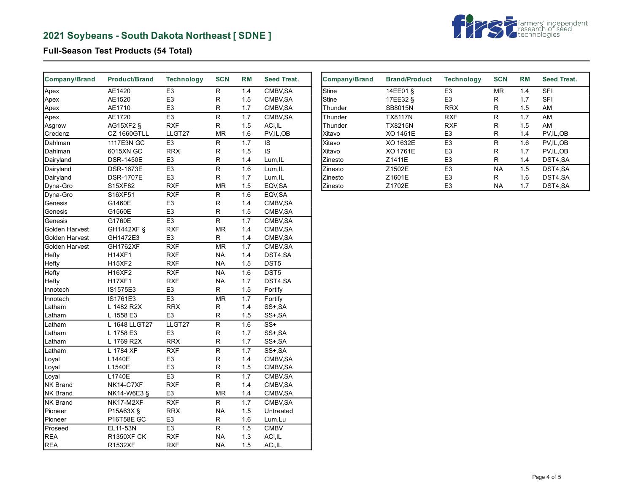# **2021 Soybeans - South Dakota Northeast [ SDNE ]**



# **Full-Season Test Products (54 Total)**

| Company/Brand         | <b>Product/Brand</b> | <b>Technology</b> | <b>SCN</b>              | <b>RM</b> | <b>Seed Treat.</b> |
|-----------------------|----------------------|-------------------|-------------------------|-----------|--------------------|
| Apex                  | AE1420               | E <sub>3</sub>    | R                       | 1.4       | CMBV, SA           |
| Apex                  | AE1520               | E <sub>3</sub>    | R                       | 1.5       | CMBV, SA           |
| Apex                  | AE1710               | E <sub>3</sub>    | R                       | 1.7       | CMBV, SA           |
| Apex                  | AE1720               | E <sub>3</sub>    | $\overline{R}$          | 1.7       | CMBV, SA           |
| Asgrow                | AG15XF2 §            | <b>RXF</b>        | R                       | 1.5       | ACi, IL            |
| Credenz               | CZ 1660GTLL          | LLGT27            | <b>MR</b>               | 1.6       | PV, IL, OB         |
| Dahlman               | 1117E3N GC           | E <sub>3</sub>    | R                       | 1.7       | IS                 |
| Dahlman               | 6015XN GC            | <b>RRX</b>        | R                       | 1.5       | IS                 |
| Dairyland             | DSR-1450E            | E <sub>3</sub>    | R                       | 1.4       | Lum, IL            |
| Dairyland             | <b>DSR-1673E</b>     | E <sub>3</sub>    | R                       | 1.6       | Lum, IL            |
| Dairyland             | <b>DSR-1707E</b>     | E <sub>3</sub>    | R                       | 1.7       | Lum, IL            |
| Dyna-Gro              | S15XF82              | <b>RXF</b>        | <b>MR</b>               | 1.5       | EQV, SA            |
| Dyna-Gro              | S16XF51              | <b>RXF</b>        | R                       | 1.6       | EQV, SA            |
| Genesis               | G1460E               | E <sub>3</sub>    | R                       | 1.4       | CMBV, SA           |
| Genesis               | G1560E               | E <sub>3</sub>    | R                       | 1.5       | CMBV, SA           |
| Genesis               | G1760E               | E <sub>3</sub>    | R                       | 1.7       | CMBV, SA           |
| Golden Harvest        | GH1442XF §           | <b>RXF</b>        | <b>MR</b>               | 1.4       | CMBV, SA           |
| Golden Harvest        | GH1472E3             | E <sub>3</sub>    | R                       | 1.4       | CMBV, SA           |
| <b>Golden Harvest</b> | <b>GH1762XF</b>      | <b>RXF</b>        | <b>MR</b>               | 1.7       | CMBV, SA           |
| Hefty                 | <b>H14XF1</b>        | <b>RXF</b>        | <b>NA</b>               | 1.4       | DST4,SA            |
| Hefty                 | <b>H15XF2</b>        | <b>RXF</b>        | <b>NA</b>               | 1.5       | DST5               |
| Hefty                 | <b>H16XF2</b>        | <b>RXF</b>        | NA                      | 1.6       | DST5               |
| Hefty                 | <b>H17XF1</b>        | <b>RXF</b>        | <b>NA</b>               | 1.7       | DST4,SA            |
| Innotech              | IS1575E3             | E <sub>3</sub>    | R                       | 1.5       | Fortify            |
| Innotech              | IS1761E3             | E <sub>3</sub>    | <b>MR</b>               | 1.7       | Fortify            |
| Latham                | L 1482 R2X           | <b>RRX</b>        | R                       | 1.4       | SS+, SA            |
| Latham                | L 1558 E3            | E <sub>3</sub>    | R                       | 1.5       | SS+, SA            |
| Latham                | L 1648 LLGT27        | LLGT27            | $\overline{\mathsf{R}}$ | 1.6       | $SS+$              |
| Latham                | L 1758 E3            | E <sub>3</sub>    | R                       | 1.7       | SS+, SA            |
| Latham                | L 1769 R2X           | <b>RRX</b>        | R                       | 1.7       | SS+, SA            |
| Latham                | L 1784 XF            | <b>RXF</b>        | R                       | 1.7       | SS+, SA            |
| Loyal                 | L1440E               | E <sub>3</sub>    | R                       | 1.4       | CMBV, SA           |
| Loyal                 | L1540E               | E <sub>3</sub>    | R                       | 1.5       | CMBV, SA           |
| Loyal                 | L1740E               | E <sub>3</sub>    | R                       | 1.7       | CMBV, SA           |
| NK Brand              | NK14-C7XF            | <b>RXF</b>        | R                       | 1.4       | CMBV, SA           |
| NK Brand              | NK14-W6E3 §          | E <sub>3</sub>    | MR                      | 1.4       | CMBV, SA           |
| <b>NK Brand</b>       | NK17-M2XF            | <b>RXF</b>        | R                       | 1.7       | CMBV, SA           |
| Pioneer               | P15A63X §            | <b>RRX</b>        | <b>NA</b>               | 1.5       | Untreated          |
| Pioneer               | P16T58E GC           | E <sub>3</sub>    | R                       | 1.6       | Lum, Lu            |
| Proseed               | EL11-53N             | E <sub>3</sub>    | R.                      | 1.5       | <b>CMBV</b>        |
| <b>REA</b>            | <b>R1350XF CK</b>    | <b>RXF</b>        | <b>NA</b>               | 1.3       | ACi, IL            |
| <b>REA</b>            | R1532XF              | <b>RXF</b>        | <b>NA</b>               | 1.5       | ACi, IL            |

| <b>Company/Brand</b> | <b>Brand/Product</b> | <b>Technology</b> | <b>SCN</b> | <b>RM</b> | Seed Treat. |
|----------------------|----------------------|-------------------|------------|-----------|-------------|
| Stine                | 14EE01 §             | E <sub>3</sub>    | <b>MR</b>  | 1.4       | <b>SFI</b>  |
| Stine                | 17EE32 §             | E <sub>3</sub>    | R          | 1.7       | <b>SFI</b>  |
| Thunder              | SB8015N              | <b>RRX</b>        | R          | 1.5       | AM          |
| Thunder              | <b>TX8117N</b>       | <b>RXF</b>        | R          | 1.7       | AM          |
| Thunder              | <b>TX8215N</b>       | <b>RXF</b>        | R          | 1.5       | AM          |
| Xitavo               | XO 1451E             | E <sub>3</sub>    | R          | 1.4       | PV, IL, OB  |
| Xitavo               | XO 1632E             | E <sub>3</sub>    | R          | 1.6       | PV.IL.OB    |
| lXitavo              | XO 1761E             | E <sub>3</sub>    | R          | 1.7       | PV, IL, OB  |
| Zinesto              | Z1411E               | E <sub>3</sub>    | R          | 1.4       | DST4,SA     |
| <b>Zinesto</b>       | Z1502E               | E <sub>3</sub>    | <b>NA</b>  | 1.5       | DST4.SA     |
| Zinesto              | Z1601E               | E <sub>3</sub>    | R          | 1.6       | DST4,SA     |
| Zinesto              | Z1702E               | E <sub>3</sub>    | <b>NA</b>  | 1.7       | DST4.SA     |